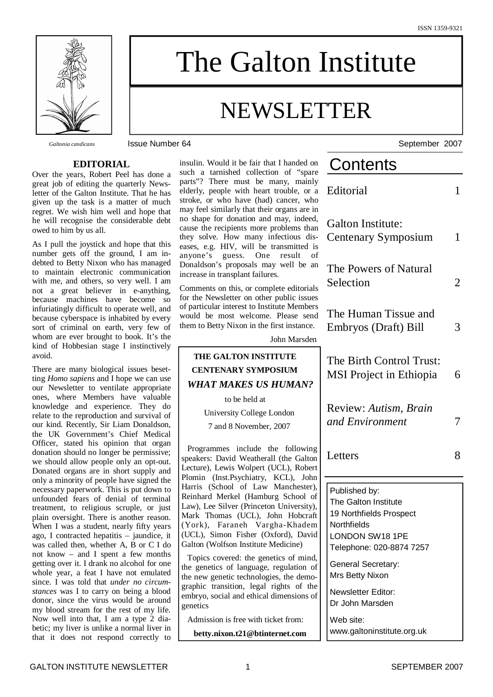

# The Galton Institute

## NEWSLETTER

*Galtonia candicans* Issue Number 64 September 2007

#### **EDITORIAL**

Over the years, Robert Peel has done a great job of editing the quarterly Newsletter of the Galton Institute. That he has given up the task is a matter of much regret. We wish him well and hope that he will recognise the considerable debt owed to him by us all.

As I pull the joystick and hope that this number gets off the ground, I am indebted to Betty Nixon who has managed to maintain electronic communication with me, and others, so very well. I am not a great believer in e-anything, because machines have become so infuriatingly difficult to operate well, and because cyberspace is inhabited by every sort of criminal on earth, very few of whom are ever brought to book. It's the kind of Hobbesian stage I instinctively avoid.

There are many biological issues besetting *Homo sapiens* and I hope we can use our Newsletter to ventilate appropriate ones, where Members have valuable knowledge and experience. They do relate to the reproduction and survival of our kind. Recently, Sir Liam Donaldson, the UK Government's Chief Medical Officer, stated his opinion that organ donation should no longer be permissive; we should allow people only an opt-out. Donated organs are in short supply and only a minority of people have signed the necessary paperwork. This is put down to unfounded fears of denial of terminal treatment, to religious scruple, or just plain oversight. There is another reason. When I was a student, nearly fifty years ago, I contracted hepatitis – jaundice, it was called then, whether A, B or C I do not know – and I spent a few months getting over it. I drank no alcohol for one whole year, a feat I have not emulated since. I was told that *under no circumstances* was I to carry on being a blood donor, since the virus would be around my blood stream for the rest of my life. Now well into that, I am a type 2 diabetic; my liver is unlike a normal liver in that it does not respond correctly to

insulin. Would it be fair that I handed on such a tarnished collection of "spare parts"? There must be many, mainly elderly, people with heart trouble, or a stroke, or who have (had) cancer, who may feel similarly that their organs are in no shape for donation and may, indeed, cause the recipients more problems than they solve. How many infectious diseases, e.g. HIV, will be transmitted is anyone's guess. One result of Donaldson's proposals may well be an increase in transplant failures.

Comments on this, or complete editorials for the Newsletter on other public issues of particular interest to Institute Members would be most welcome. Please send them to Betty Nixon in the first instance.

John Marsden

#### **THE GALTON INSTITUTE CENTENARY SYMPOSIUM** *WHAT MAKES US HUMAN?*

to be held at

University College London

7 and 8 November, 2007

Programmes include the following speakers: David Weatherall (the Galton Lecture), Lewis Wolpert (UCL), Robert Plomin (Inst.Psychiatry, KCL), John Harris (School of Law Manchester), Reinhard Merkel (Hamburg School of Law), Lee Silver (Princeton University), Mark Thomas (UCL), John Hobcraft (York), Faraneh Vargha-Khadem (UCL), Simon Fisher (Oxford), David Galton (Wolfson Institute Medicine)

Topics covered: the genetics of mind, the genetics of language, regulation of the new genetic technologies, the demographic transition, legal rights of the embryo, social and ethical dimensions of genetics

Admission is free with ticket from:

**betty.nixon.t21@btinternet.com**

| Contents                                                                                                                       |   |
|--------------------------------------------------------------------------------------------------------------------------------|---|
| Editorial                                                                                                                      | 1 |
| <b>Galton Institute:</b><br>Centenary Symposium                                                                                | 1 |
| The Powers of Natural<br>Selection                                                                                             | 2 |
| The Human Tissue and<br>Embryos (Draft) Bill                                                                                   | 3 |
| The Birth Control Trust:<br><b>MSI</b> Project in Ethiopia                                                                     | 6 |
| Review: Autism, Brain<br>and Environment                                                                                       | 7 |
| Letters                                                                                                                        | 8 |
| Published by:<br>The Galton Institute<br>19 Northfields Prospect<br>Northfields<br>LONDON SW18 1PE<br>Telephone: 020-8874 7257 |   |
| General Secretary:<br>Mrs Betty Nixon                                                                                          |   |
| Newsletter Editor:<br>Dr John Marsden                                                                                          |   |
| Web site:                                                                                                                      |   |

Contents of the contents of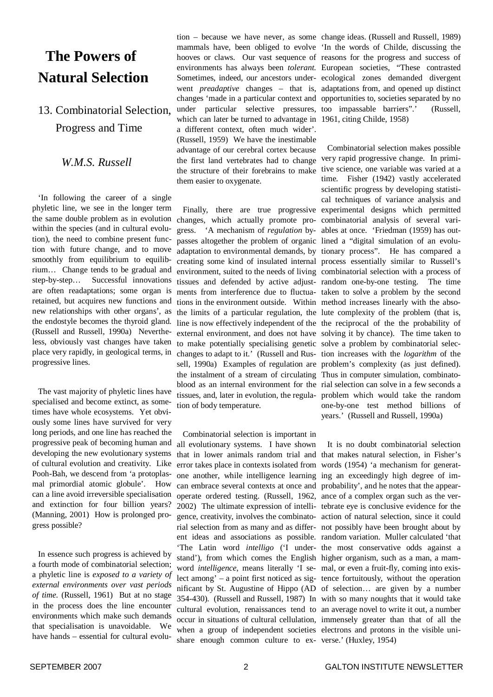## **The Powers of Natural Selection**

13. Combinatorial Selection, Progress and Time

#### *W.M.S. Russell*

'In following the career of a single phyletic line, we see in the longer term the same double problem as in evolution within the species (and in cultural evolution), the need to combine present function with future change, and to move smoothly from equilibrium to equilibrium… Change tends to be gradual and step-by-step… Successful innovations are often readaptations; some organ is retained, but acquires new functions and new relationships with other organs', as the endostyle becomes the thyroid gland. (Russell and Russell, 1990a) Nevertheless, obviously vast changes have taken place very rapidly, in geological terms, in progressive lines.

The vast majority of phyletic lines have specialised and become extinct, as sometimes have whole ecosystems. Yet obviously some lines have survived for very long periods, and one line has reached the progressive peak of becoming human and developing the new evolutionary systems of cultural evolution and creativity. Like Pooh-Bah, we descend from 'a protoplasmal primordial atomic globule'. How can a line avoid irreversible specialisation and extinction for four billion years? (Manning, 2001) How is prolonged progress possible?

In essence such progress is achieved by a fourth mode of combinatorial selection; a phyletic line is *exposed to a variety of external environments over vast periods of time*. (Russell, 1961) But at no stage in the process does the line encounter environments which make such demands that specialisation is unavoidable. We have hands – essential for cultural evolu-

mammals have, been obliged to evolve 'In the words of Childe, discussing the hooves or claws. Our vast sequence of reasons for the progress and success of environments has always been *tolerant.* European societies, "These contrasted Sometimes, indeed, our ancestors under-ecological zones demanded divergent went *preadaptive* changes – that is, adaptations from, and opened up distinct changes 'made in a particular context and opportunities to, societies separated by no under particular selective pressures, too impassable barriers".' (Russell, which can later be turned to advantage in 1961, citing Childe, 1958) a different context, often much wider'. (Russell, 1959) We have the inestimable advantage of our cerebral cortex because the first land vertebrates had to change very rapid progressive change. In primithe structure of their forebrains to make tive science, one variable was varied at a them easier to oxygenate.

changes, which actually promote pro-combinatorial analysis of several varigress. 'A mechanism of *regulation* by-ables at once. 'Friedman (1959) has outpasses altogether the problem of organic lined a "digital simulation of an evoluadaptation to environmental demands, by tionary process". He has compared a creating some kind of insulated internal process essentially similar to Russell's environment, suited to the needs of living combinatorial selection with a process of tissues and defended by active adjust-random one-by-one testing. The time ments from interference due to fluctua-taken to solve a problem by the second tions in the environment outside. Within method increases linearly with the absothe limits of a particular regulation, the lute complexity of the problem (that is, line is now effectively independent of the the reciprocal of the the probability of external environment, and does not have solving it by chance). The time taken to to make potentially specialising genetic solve a problem by combinatorial selecchanges to adapt to it.' (Russell and Rus-tion increases with the *logarithm* of the sell, 1990a) Examples of regulation are problem's complexity (as just defined). the instalment of a stream of circulating Thus in computer simulation, combinatoblood as an internal environment for the rial selection can solve in a few seconds a tissues, and, later in evolution, the regula-problem which would take the random tion of body temperature.

Combinatorial selection is important in all evolutionary systems. I have shown that in lower animals random trial and that makes natural selection, in Fisher's error takes place in contexts isolated from words (1954) 'a mechanism for generatone another, while intelligence learning ing an exceedingly high degree of imcan embrace several contexts at once and probability', and he notes that the appearoperate ordered testing. (Russell, 1962, ance of a complex organ such as the ver-2002) The ultimate expression of intelli-tebrate eye is conclusive evidence for the gence, creativity, involves the combinato-action of natural selection, since it could rial selection from as many and as differ-not possibly have been brought about by ent ideas and associations as possible. random variation. Muller calculated 'that 'The Latin word *intelligo* ('I under-the most conservative odds against a stand'), from which comes the English higher organism, such as a man, a mamword *intelligence*, means literally 'I se-mal, or even a fruit-fly, coming into exislect among' – a point first noticed as sig-tence fortuitously, without the operation nificant by St. Augustine of Hippo (AD of selection… are given by a number 354-430). (Russell and Russell, 1987) In with so many noughts that it would take cultural evolution, renaissances tend to an average novel to write it out, a number occur in situations of cultural cellulation, immensely greater than that of all the when a group of independent societies electrons and protons in the visible unishare enough common culture to ex-verse.' (Huxley, 1954)

tion – because we have never, as some change ideas. (Russell and Russell, 1989)

Finally, there are true progressive experimental designs which permitted Combinatorial selection makes possible time. Fisher (1942) vastly accelerated scientific progress by developing statistical techniques of variance analysis and one-by-one test method billions of years.' (Russell and Russell, 1990a)

It is no doubt combinatorial selection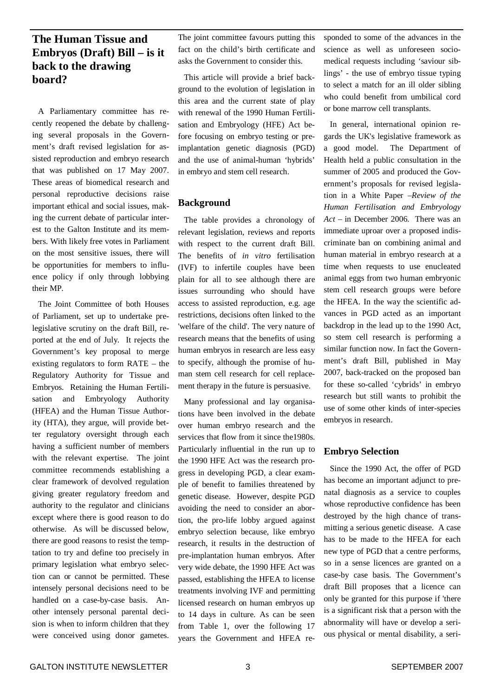#### **The Human Tissue and Embryos (Draft) Bill – is it back to the drawing board?**

A Parliamentary committee has recently reopened the debate by challenging several proposals in the Government's draft revised legislation for assisted reproduction and embryo research that was published on 17 May 2007. These areas of biomedical research and personal reproductive decisions raise important ethical and social issues, making the current debate of particular interest to the Galton Institute and its members. With likely free votes in Parliament on the most sensitive issues, there will be opportunities for members to influence policy if only through lobbying their MP.

The Joint Committee of both Houses of Parliament, set up to undertake prelegislative scrutiny on the draft Bill, reported at the end of July. It rejects the Government's key proposal to merge existing regulators to form RATE – the Regulatory Authority for Tissue and Embryos. Retaining the Human Fertilisation and Embryology Authority (HFEA) and the Human Tissue Authority (HTA), they argue, will provide better regulatory oversight through each having a sufficient number of members with the relevant expertise. The joint committee recommends establishing a clear framework of devolved regulation giving greater regulatory freedom and authority to the regulator and clinicians except where there is good reason to do otherwise. As will be discussed below, there are good reasons to resist the temptation to try and define too precisely in primary legislation what embryo selection can or cannot be permitted. These intensely personal decisions need to be handled on a case-by-case basis. Another intensely personal parental decision is when to inform children that they were conceived using donor gametes.

The joint committee favours putting this fact on the child's birth certificate and asks the Government to consider this.

This article will provide a brief background to the evolution of legislation in this area and the current state of play with renewal of the 1990 Human Fertilisation and Embryology (HFE) Act before focusing on embryo testing or preimplantation genetic diagnosis (PGD) and the use of animal-human 'hybrids' in embryo and stem cell research.

#### **Background**

The table provides a chronology of relevant legislation, reviews and reports with respect to the current draft Bill. The benefits of *in vitro* fertilisation (IVF) to infertile couples have been plain for all to see although there are issues surrounding who should have access to assisted reproduction, e.g. age restrictions, decisions often linked to the 'welfare of the child'. The very nature of research means that the benefits of using human embryos in research are less easy to specify, although the promise of human stem cell research for cell replacement therapy in the future is persuasive.

Many professional and lay organisations have been involved in the debate over human embryo research and the services that flow from it since the1980s. Particularly influential in the run up to the 1990 HFE Act was the research progress in developing PGD, a clear example of benefit to families threatened by genetic disease. However, despite PGD avoiding the need to consider an abortion, the pro-life lobby argued against embryo selection because, like embryo research, it results in the destruction of pre-implantation human embryos. After very wide debate, the 1990 HFE Act was passed, establishing the HFEA to license treatments involving IVF and permitting licensed research on human embryos up to 14 days in culture. As can be seen from Table 1, over the following 17 years the Government and HFEA responded to some of the advances in the science as well as unforeseen sociomedical requests including 'saviour siblings' - the use of embryo tissue typing to select a match for an ill older sibling who could benefit from umbilical cord or bone marrow cell transplants.

In general, international opinion regards the UK's legislative framework as a good model. The Department of Health held a public consultation in the summer of 2005 and produced the Government's proposals for revised legislation in a White Paper –*Review of the Human Fertilisation and Embryology Act* – in December 2006*.* There was an immediate uproar over a proposed indiscriminate ban on combining animal and human material in embryo research at a time when requests to use enucleated animal eggs from two human embryonic stem cell research groups were before the HFEA. In the way the scientific advances in PGD acted as an important backdrop in the lead up to the 1990 Act, so stem cell research is performing a similar function now. In fact the Government's draft Bill, published in May 2007, back-tracked on the proposed ban for these so-called 'cybrids' in embryo research but still wants to prohibit the use of some other kinds of inter-species embryos in research.

#### **Embryo Selection**

Since the 1990 Act, the offer of PGD has become an important adjunct to prenatal diagnosis as a service to couples whose reproductive confidence has been destroyed by the high chance of transmitting a serious genetic disease. A case has to be made to the HFEA for each new type of PGD that a centre performs, so in a sense licences are granted on a case-by case basis. The Government's draft Bill proposes that a licence can only be granted for this purpose if 'there is a significant risk that a person with the abnormality will have or develop a serious physical or mental disability, a seri-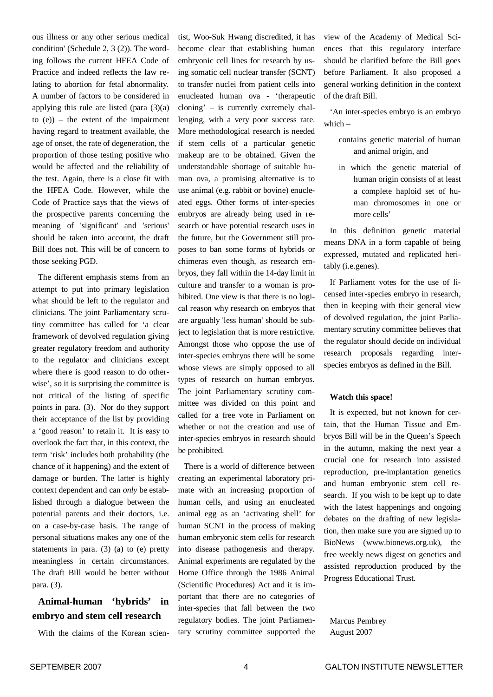ous illness or any other serious medical condition' (Schedule 2, 3 (2)). The wording follows the current HFEA Code of Practice and indeed reflects the law relating to abortion for fetal abnormality. A number of factors to be considered in applying this rule are listed (para  $(3)(a)$ to  $(e)$ ) – the extent of the impairment having regard to treatment available, the age of onset, the rate of degeneration, the proportion of those testing positive who would be affected and the reliability of the test. Again, there is a close fit with the HFEA Code. However, while the Code of Practice says that the views of the prospective parents concerning the meaning of 'significant' and 'serious' should be taken into account, the draft Bill does not. This will be of concern to those seeking PGD.

The different emphasis stems from an attempt to put into primary legislation what should be left to the regulator and clinicians. The joint Parliamentary scrutiny committee has called for 'a clear framework of devolved regulation giving greater regulatory freedom and authority to the regulator and clinicians except where there is good reason to do otherwise', so it is surprising the committee is not critical of the listing of specific points in para. (3). Nor do they support their acceptance of the list by providing a 'good reason' to retain it. It is easy to overlook the fact that, in this context, the term 'risk' includes both probability (the chance of it happening) and the extent of damage or burden. The latter is highly context dependent and can *only* be established through a dialogue between the potential parents and their doctors, i.e. on a case-by-case basis. The range of personal situations makes any one of the statements in para. (3) (a) to (e) pretty meaningless in certain circumstances. The draft Bill would be better without para. (3).

#### **Animal-human 'hybrids' in embryo and stem cell research**

With the claims of the Korean scien-

tist, Woo-Suk Hwang discredited, it has become clear that establishing human embryonic cell lines for research by using somatic cell nuclear transfer (SCNT) to transfer nuclei from patient cells into enucleated human ova - 'therapeutic cloning' – is currently extremely challenging, with a very poor success rate. More methodological research is needed if stem cells of a particular genetic makeup are to be obtained. Given the understandable shortage of suitable human ova, a promising alternative is to use animal (e.g. rabbit or bovine) enucleated eggs. Other forms of inter-species embryos are already being used in research or have potential research uses in the future, but the Government still proposes to ban some forms of hybrids or chimeras even though, as research embryos, they fall within the 14-day limit in culture and transfer to a woman is prohibited. One view is that there is no logical reason why research on embryos that are arguably 'less human' should be subject to legislation that is more restrictive. Amongst those who oppose the use of inter-species embryos there will be some whose views are simply opposed to all types of research on human embryos. The joint Parliamentary scrutiny committee was divided on this point and called for a free vote in Parliament on whether or not the creation and use of inter-species embryos in research should be prohibited.

There is a world of difference between creating an experimental laboratory primate with an increasing proportion of human cells, and using an enucleated animal egg as an 'activating shell' for human SCNT in the process of making human embryonic stem cells for research into disease pathogenesis and therapy. Animal experiments are regulated by the Home Office through the 1986 Animal (Scientific Procedures) Act and it is important that there are no categories of inter-species that fall between the two regulatory bodies. The joint Parliamentary scrutiny committee supported the view of the Academy of Medical Sciences that this regulatory interface should be clarified before the Bill goes before Parliament. It also proposed a general working definition in the context of the draft Bill.

'An inter-species embryo is an embryo which –

- contains genetic material of human and animal origin, and
- in which the genetic material of human origin consists of at least a complete haploid set of human chromosomes in one or more cells'

In this definition genetic material means DNA in a form capable of being expressed, mutated and replicated heritably (i.e.genes).

If Parliament votes for the use of licensed inter-species embryo in research, then in keeping with their general view of devolved regulation, the joint Parliamentary scrutiny committee believes that the regulator should decide on individual research proposals regarding interspecies embryos as defined in the Bill.

#### **Watch this space!**

It is expected, but not known for certain, that the Human Tissue and Embryos Bill will be in the Queen's Speech in the autumn, making the next year a crucial one for research into assisted reproduction, pre-implantation genetics and human embryonic stem cell research. If you wish to be kept up to date with the latest happenings and ongoing debates on the drafting of new legislation, then make sure you are signed up to BioNews (www.bionews.org.uk), the free weekly news digest on genetics and assisted reproduction produced by the Progress Educational Trust.

Marcus Pembrey August 2007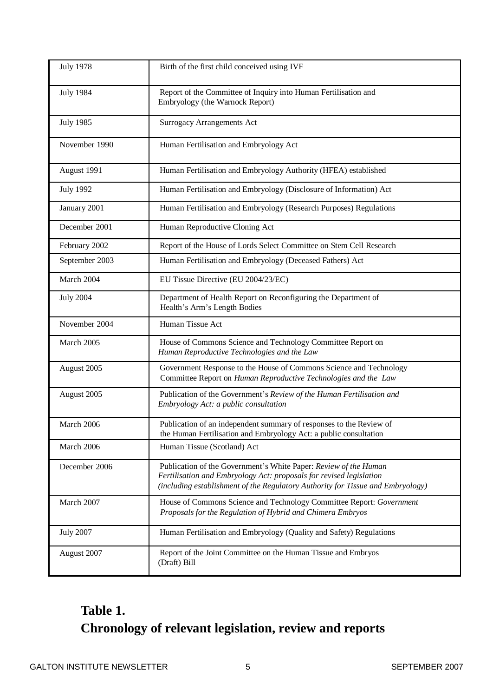| <b>July 1978</b> | Birth of the first child conceived using IVF                                                                                                                                                                               |
|------------------|----------------------------------------------------------------------------------------------------------------------------------------------------------------------------------------------------------------------------|
| <b>July 1984</b> | Report of the Committee of Inquiry into Human Fertilisation and<br>Embryology (the Warnock Report)                                                                                                                         |
| <b>July 1985</b> | <b>Surrogacy Arrangements Act</b>                                                                                                                                                                                          |
| November 1990    | Human Fertilisation and Embryology Act                                                                                                                                                                                     |
| August 1991      | Human Fertilisation and Embryology Authority (HFEA) established                                                                                                                                                            |
| <b>July 1992</b> | Human Fertilisation and Embryology (Disclosure of Information) Act                                                                                                                                                         |
| January 2001     | Human Fertilisation and Embryology (Research Purposes) Regulations                                                                                                                                                         |
| December 2001    | Human Reproductive Cloning Act                                                                                                                                                                                             |
| February 2002    | Report of the House of Lords Select Committee on Stem Cell Research                                                                                                                                                        |
| September 2003   | Human Fertilisation and Embryology (Deceased Fathers) Act                                                                                                                                                                  |
| March 2004       | EU Tissue Directive (EU 2004/23/EC)                                                                                                                                                                                        |
| <b>July 2004</b> | Department of Health Report on Reconfiguring the Department of<br>Health's Arm's Length Bodies                                                                                                                             |
| November 2004    | Human Tissue Act                                                                                                                                                                                                           |
| March 2005       | House of Commons Science and Technology Committee Report on<br>Human Reproductive Technologies and the Law                                                                                                                 |
| August 2005      | Government Response to the House of Commons Science and Technology<br>Committee Report on Human Reproductive Technologies and the Law                                                                                      |
| August 2005      | Publication of the Government's Review of the Human Fertilisation and<br>Embryology Act: a public consultation                                                                                                             |
| March 2006       | Publication of an independent summary of responses to the Review of<br>the Human Fertilisation and Embryology Act: a public consultation                                                                                   |
| March 2006       | Human Tissue (Scotland) Act                                                                                                                                                                                                |
| December 2006    | Publication of the Government's White Paper: Review of the Human<br>Fertilisation and Embryology Act: proposals for revised legislation<br>(including establishment of the Regulatory Authority for Tissue and Embryology) |
| March 2007       | House of Commons Science and Technology Committee Report: Government<br>Proposals for the Regulation of Hybrid and Chimera Embryos                                                                                         |
| <b>July 2007</b> |                                                                                                                                                                                                                            |
|                  | Human Fertilisation and Embryology (Quality and Safety) Regulations                                                                                                                                                        |

## **Table 1. Chronology of relevant legislation, review and reports**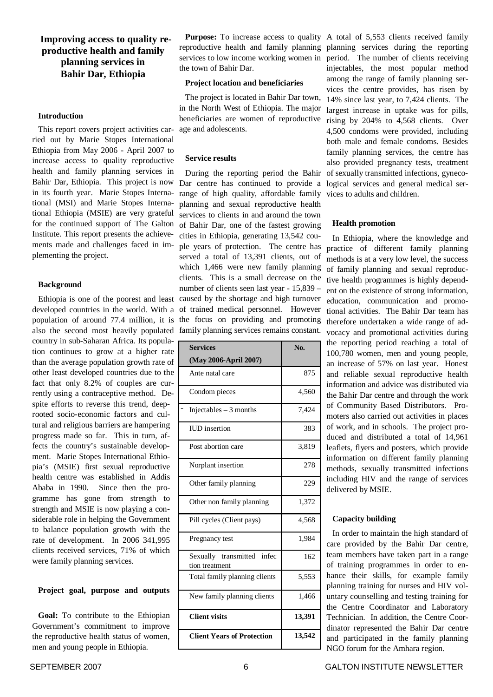#### **Improving access to quality reproductive health and family planning services in Bahir Dar, Ethiopia**

#### **Introduction**

This report covers project activities carried out by Marie Stopes International Ethiopia from May 2006 - April 2007 to increase access to quality reproductive health and family planning services in Bahir Dar, Ethiopia. This project is now in its fourth year. Marie Stopes International (MSI) and Marie Stopes International Ethiopia (MSIE) are very grateful for the continued support of The Galton Institute. This report presents the achievements made and challenges faced in implementing the project.

#### **Background**

developed countries in the world. With a of trained medical personnel. However population of around 77.4 million, it is the focus on providing and promoting also the second most heavily populated family planning services remains constant. country in sub-Saharan Africa. Its population continues to grow at a higher rate than the average population growth rate of other least developed countries due to the fact that only 8.2% of couples are currently using a contraceptive method. Despite efforts to reverse this trend, deeprooted socio-economic factors and cultural and religious barriers are hampering progress made so far. This in turn, affects the country's sustainable development. Marie Stopes International Ethiopia's (MSIE) first sexual reproductive health centre was established in Addis Ababa in 1990. Since then the programme has gone from strength to strength and MSIE is now playing a considerable role in helping the Government to balance population growth with the rate of development. In 2006 341,995 clients received services, 71% of which were family planning services.

#### **Project goal, purpose and outputs**

**Goal:** To contribute to the Ethiopian Government's commitment to improve the reproductive health status of women, men and young people in Ethiopia.

Purpose: To increase access to quality A total of 5,553 clients received family the town of Bahir Dar.

#### **Project location and beneficiaries**

The project is located in Bahir Dar town, in the North West of Ethiopia. The major beneficiaries are women of reproductive age and adolescents.

#### **Service results**

Ethiopia is one of the poorest and least caused by the shortage and high turnover During the reporting period the Bahir Dar centre has continued to provide a logical services and general medical serrange of high quality, affordable family planning and sexual reproductive health services to clients in and around the town of Bahir Dar, one of the fastest growing cities in Ethiopia, generating 13,542 couple years of protection. The centre has served a total of 13,391 clients, out of which 1,466 were new family planning clients. This is a small decrease on the number of clients seen last year - 15,839 –

| <b>Services</b>                              | No.    |
|----------------------------------------------|--------|
| (May 2006-April 2007)                        |        |
| Ante natal care                              | 875    |
| Condom pieces                                | 4,560  |
| Injectables $-3$ months                      | 7,424  |
| <b>IUD</b> insertion                         | 383    |
| Post abortion care                           | 3,819  |
| Norplant insertion                           | 278    |
| Other family planning                        | 229    |
| Other non family planning                    | 1,372  |
| Pill cycles (Client pays)                    | 4,568  |
| Pregnancy test                               | 1,984  |
| Sexually transmitted infec<br>tion treatment | 162    |
| Total family planning clients                | 5,553  |
| New family planning clients                  | 1,466  |
| <b>Client visits</b>                         | 13,391 |
| <b>Client Years of Protection</b>            | 13,542 |

reproductive health and family planning planning services during the reporting services to low income working women in period. The number of clients receiving injectables, the most popular method among the range of family planning services the centre provides, has risen by 14% since last year, to 7,424 clients. The largest increase in uptake was for pills, rising by 204% to 4,568 clients. Over 4,500 condoms were provided, including both male and female condoms. Besides family planning services, the centre has also provided pregnancy tests, treatment of sexually transmitted infections, gynecovices to adults and children.

#### **Health promotion**

In Ethiopia, where the knowledge and practice of different family planning methods is at a very low level, the success of family planning and sexual reproductive health programmes is highly dependent on the existence of strong information, education, communication and promotional activities. The Bahir Dar team has therefore undertaken a wide range of advocacy and promotional activities during the reporting period reaching a total of 100,780 women, men and young people, an increase of 57% on last year. Honest and reliable sexual reproductive health information and advice was distributed via the Bahir Dar centre and through the work of Community Based Distributors. Promoters also carried out activities in places of work, and in schools. The project produced and distributed a total of 14,961 leaflets, flyers and posters, which provide information on different family planning methods, sexually transmitted infections including HIV and the range of services delivered by MSIE.

#### **Capacity building**

In order to maintain the high standard of care provided by the Bahir Dar centre, team members have taken part in a range of training programmes in order to enhance their skills, for example family planning training for nurses and HIV voluntary counselling and testing training for the Centre Coordinator and Laboratory Technician. In addition, the Centre Coordinator represented the Bahir Dar centre and participated in the family planning NGO forum for the Amhara region.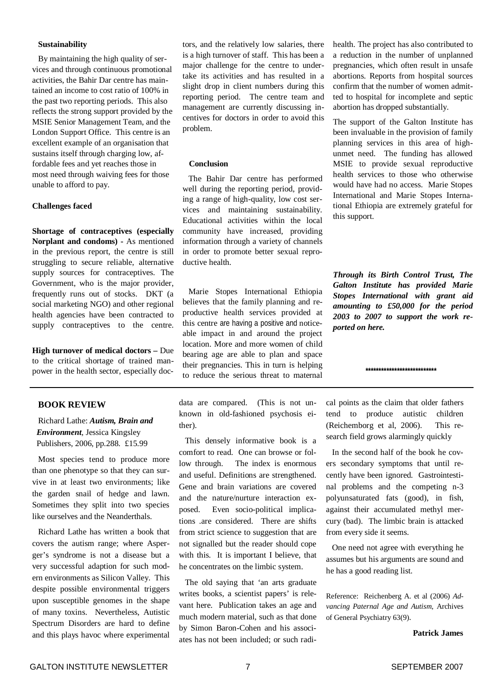#### **Sustainability**

By maintaining the high quality of services and through continuous promotional activities, the Bahir Dar centre has maintained an income to cost ratio of 100% in the past two reporting periods. This also reflects the strong support provided by the MSIE Senior Management Team, and the London Support Office. This centre is an excellent example of an organisation that sustains itself through charging low, affordable fees and yet reaches those in most need through waiving fees for those unable to afford to pay.

#### **Challenges faced**

**Shortage of contraceptives (especially Norplant and condoms) -** As mentioned in the previous report, the centre is still struggling to secure reliable, alternative supply sources for contraceptives. The Government, who is the major provider, frequently runs out of stocks. DKT (a social marketing NGO) and other regional health agencies have been contracted to supply contraceptives to the centre.

**High turnover of medical doctors –** Due to the critical shortage of trained manpower in the health sector, especially doc-

#### **BOOK REVIEW**

Richard Lathe: *Autism, Brain and Environment*, Jessica Kingsley Publishers, 2006, pp.288. £15.99

Most species tend to produce more than one phenotype so that they can survive in at least two environments; like the garden snail of hedge and lawn. Sometimes they split into two species like ourselves and the Neanderthals.

Richard Lathe has written a book that covers the autism range; where Asperger's syndrome is not a disease but a very successful adaption for such modern environments as Silicon Valley. This despite possible environmental triggers upon susceptible genomes in the shape of many toxins. Nevertheless, Autistic Spectrum Disorders are hard to define and this plays havoc where experimental tors, and the relatively low salaries, there is a high turnover of staff. This has been a major challenge for the centre to undertake its activities and has resulted in a slight drop in client numbers during this reporting period. The centre team and management are currently discussing incentives for doctors in order to avoid this problem.

#### **Conclusion**

The Bahir Dar centre has performed well during the reporting period, providing a range of high-quality, low cost services and maintaining sustainability. Educational activities within the local community have increased, providing information through a variety of channels in order to promote better sexual reproductive health.

Marie Stopes International Ethiopia believes that the family planning and reproductive health services provided at this centre are having a positive and noticeable impact in and around the project location. More and more women of child bearing age are able to plan and space their pregnancies. This in turn is helping to reduce the serious threat to maternal

data are compared. (This is not unknown in old-fashioned psychosis either).

This densely informative book is a comfort to read. One can browse or follow through. The index is enormous and useful. Definitions are strengthened. Gene and brain variations are covered and the nature/nurture interaction exposed. Even socio-political implications .are considered. There are shifts from strict science to suggestion that are not signalled but the reader should cope with this. It is important I believe, that he concentrates on the limbic system.

The old saying that 'an arts graduate writes books, a scientist papers' is relevant here. Publication takes an age and much modern material, such as that done by Simon Baron-Cohen and his associates has not been included; or such radihealth. The project has also contributed to a reduction in the number of unplanned pregnancies, which often result in unsafe abortions. Reports from hospital sources confirm that the number of women admitted to hospital for incomplete and septic abortion has dropped substantially.

The support of the Galton Institute has been invaluable in the provision of family planning services in this area of highunmet need. The funding has allowed MSIE to provide sexual reproductive health services to those who otherwise would have had no access. Marie Stopes International and Marie Stopes International Ethiopia are extremely grateful for this support.

*Through its Birth Control Trust, The Galton Institute has provided Marie Stopes International with grant aid amounting to £50,000 for the period 2003 to 2007 to support the work reported on here.*

cal points as the claim that older fathers tend to produce autistic children (Reichemborg et al, 2006). This research field grows alarmingly quickly

**\*\*\*\*\*\*\*\*\*\*\*\*\*\*\*\*\*\*\*\*\*\*\*\*\*\*\***

In the second half of the book he covers secondary symptoms that until recently have been ignored. Gastrointestinal problems and the competing n-3 polyunsaturated fats (good), in fish, against their accumulated methyl mercury (bad). The limbic brain is attacked from every side it seems.

One need not agree with everything he assumes but his arguments are sound and he has a good reading list.

Reference: Reichenberg A. et al (2006) *Advancing Paternal Age and Autism*, Archives of General Psychiatry 63(9).

**Patrick James**